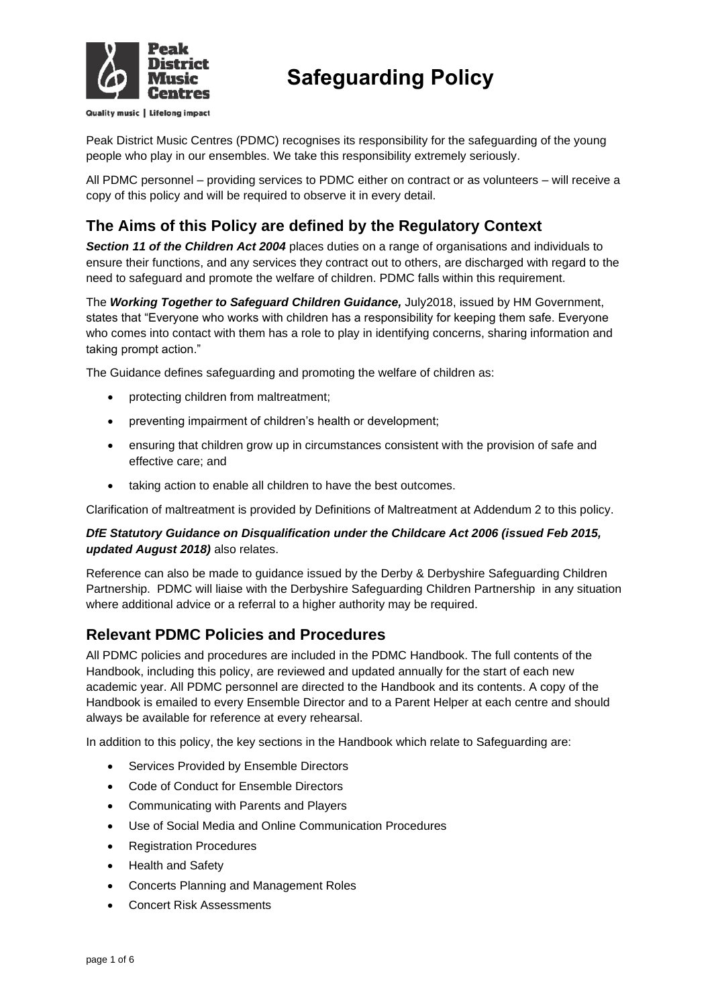

Quality music | Lifelong impact

# **Safeguarding Policy**

Peak District Music Centres (PDMC) recognises its responsibility for the safeguarding of the young people who play in our ensembles. We take this responsibility extremely seriously.

All PDMC personnel – providing services to PDMC either on contract or as volunteers – will receive a copy of this policy and will be required to observe it in every detail.

# **The Aims of this Policy are defined by the Regulatory Context**

*Section 11 of the Children Act 2004* places duties on a range of organisations and individuals to ensure their functions, and any services they contract out to others, are discharged with regard to the need to safeguard and promote the welfare of children. PDMC falls within this requirement.

The *Working Together to Safeguard Children Guidance,* July2018, issued by HM Government, states that "Everyone who works with children has a responsibility for keeping them safe. Everyone who comes into contact with them has a role to play in identifying concerns, sharing information and taking prompt action."

The Guidance defines safeguarding and promoting the welfare of children as:

- protecting children from maltreatment;
- preventing impairment of children's health or development;
- ensuring that children grow up in circumstances consistent with the provision of safe and effective care; and
- taking action to enable all children to have the best outcomes.

Clarification of maltreatment is provided by Definitions of Maltreatment at Addendum 2 to this policy.

### *DfE Statutory Guidance on Disqualification under the Childcare Act 2006 (issued Feb 2015, updated August 2018)* also relates.

Reference can also be made to guidance issued by the Derby & Derbyshire Safeguarding Children Partnership. PDMC will liaise with the Derbyshire Safeguarding Children Partnership in any situation where additional advice or a referral to a higher authority may be required.

### **Relevant PDMC Policies and Procedures**

All PDMC policies and procedures are included in the PDMC Handbook. The full contents of the Handbook, including this policy, are reviewed and updated annually for the start of each new academic year. All PDMC personnel are directed to the Handbook and its contents. A copy of the Handbook is emailed to every Ensemble Director and to a Parent Helper at each centre and should always be available for reference at every rehearsal.

In addition to this policy, the key sections in the Handbook which relate to Safeguarding are:

- Services Provided by Ensemble Directors
- Code of Conduct for Ensemble Directors
- Communicating with Parents and Players
- Use of Social Media and Online Communication Procedures
- Registration Procedures
- Health and Safety
- Concerts Planning and Management Roles
- Concert Risk Assessments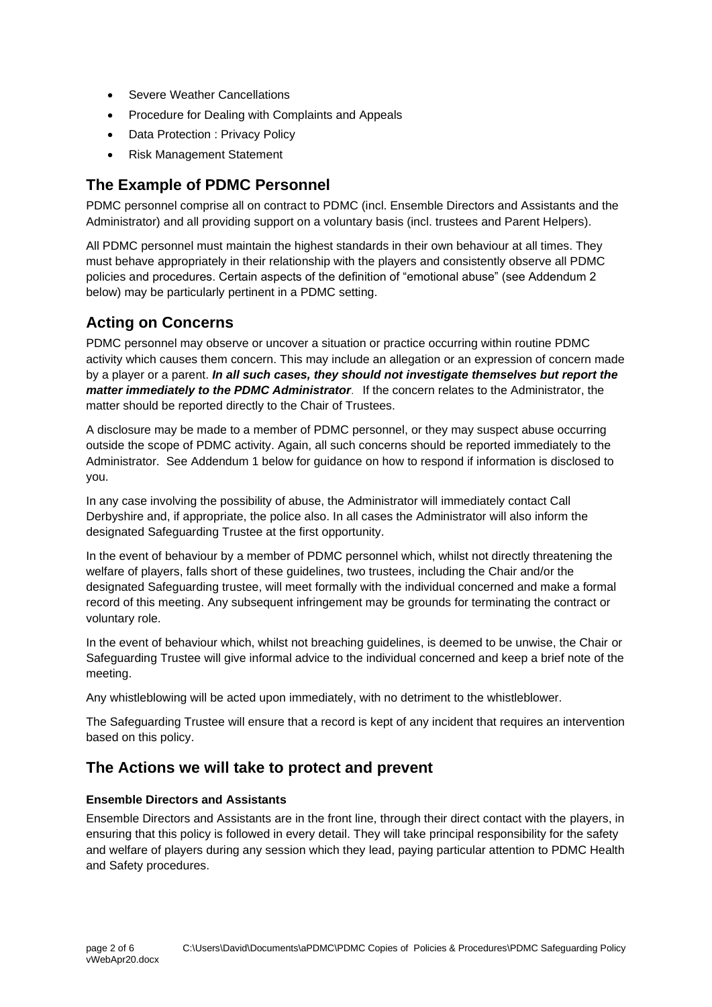- Severe Weather Cancellations
- Procedure for Dealing with Complaints and Appeals
- Data Protection : Privacy Policy
- Risk Management Statement

### **The Example of PDMC Personnel**

PDMC personnel comprise all on contract to PDMC (incl. Ensemble Directors and Assistants and the Administrator) and all providing support on a voluntary basis (incl. trustees and Parent Helpers).

All PDMC personnel must maintain the highest standards in their own behaviour at all times. They must behave appropriately in their relationship with the players and consistently observe all PDMC policies and procedures. Certain aspects of the definition of "emotional abuse" (see Addendum 2 below) may be particularly pertinent in a PDMC setting.

# **Acting on Concerns**

PDMC personnel may observe or uncover a situation or practice occurring within routine PDMC activity which causes them concern. This may include an allegation or an expression of concern made by a player or a parent. *In all such cases, they should not investigate themselves but report the matter immediately to the PDMC Administrator*. If the concern relates to the Administrator, the matter should be reported directly to the Chair of Trustees.

A disclosure may be made to a member of PDMC personnel, or they may suspect abuse occurring outside the scope of PDMC activity. Again, all such concerns should be reported immediately to the Administrator. See Addendum 1 below for guidance on how to respond if information is disclosed to you.

In any case involving the possibility of abuse, the Administrator will immediately contact Call Derbyshire and, if appropriate, the police also. In all cases the Administrator will also inform the designated Safeguarding Trustee at the first opportunity.

In the event of behaviour by a member of PDMC personnel which, whilst not directly threatening the welfare of players, falls short of these guidelines, two trustees, including the Chair and/or the designated Safeguarding trustee, will meet formally with the individual concerned and make a formal record of this meeting. Any subsequent infringement may be grounds for terminating the contract or voluntary role.

In the event of behaviour which, whilst not breaching guidelines, is deemed to be unwise, the Chair or Safeguarding Trustee will give informal advice to the individual concerned and keep a brief note of the meeting.

Any whistleblowing will be acted upon immediately, with no detriment to the whistleblower.

The Safeguarding Trustee will ensure that a record is kept of any incident that requires an intervention based on this policy.

### **The Actions we will take to protect and prevent**

### **Ensemble Directors and Assistants**

Ensemble Directors and Assistants are in the front line, through their direct contact with the players, in ensuring that this policy is followed in every detail. They will take principal responsibility for the safety and welfare of players during any session which they lead, paying particular attention to PDMC Health and Safety procedures.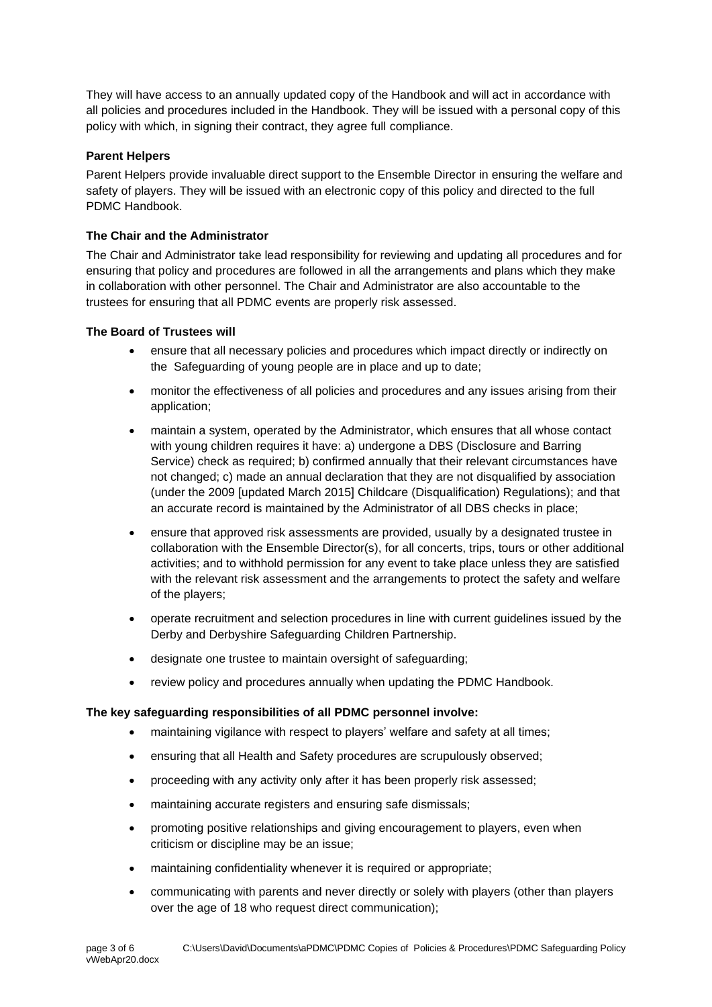They will have access to an annually updated copy of the Handbook and will act in accordance with all policies and procedures included in the Handbook. They will be issued with a personal copy of this policy with which, in signing their contract, they agree full compliance.

### **Parent Helpers**

Parent Helpers provide invaluable direct support to the Ensemble Director in ensuring the welfare and safety of players. They will be issued with an electronic copy of this policy and directed to the full PDMC Handbook.

### **The Chair and the Administrator**

The Chair and Administrator take lead responsibility for reviewing and updating all procedures and for ensuring that policy and procedures are followed in all the arrangements and plans which they make in collaboration with other personnel. The Chair and Administrator are also accountable to the trustees for ensuring that all PDMC events are properly risk assessed.

### **The Board of Trustees will**

- ensure that all necessary policies and procedures which impact directly or indirectly on the Safeguarding of young people are in place and up to date;
- monitor the effectiveness of all policies and procedures and any issues arising from their application;
- maintain a system, operated by the Administrator, which ensures that all whose contact with young children requires it have: a) undergone a DBS (Disclosure and Barring Service) check as required; b) confirmed annually that their relevant circumstances have not changed; c) made an annual declaration that they are not disqualified by association (under the 2009 [updated March 2015] Childcare (Disqualification) Regulations); and that an accurate record is maintained by the Administrator of all DBS checks in place;
- ensure that approved risk assessments are provided, usually by a designated trustee in collaboration with the Ensemble Director(s), for all concerts, trips, tours or other additional activities; and to withhold permission for any event to take place unless they are satisfied with the relevant risk assessment and the arrangements to protect the safety and welfare of the players;
- operate recruitment and selection procedures in line with current guidelines issued by the Derby and Derbyshire Safeguarding Children Partnership.
- designate one trustee to maintain oversight of safeguarding;
- review policy and procedures annually when updating the PDMC Handbook.

### **The key safeguarding responsibilities of all PDMC personnel involve:**

- maintaining vigilance with respect to players' welfare and safety at all times;
- ensuring that all Health and Safety procedures are scrupulously observed;
- proceeding with any activity only after it has been properly risk assessed;
- maintaining accurate registers and ensuring safe dismissals;
- promoting positive relationships and giving encouragement to players, even when criticism or discipline may be an issue;
- maintaining confidentiality whenever it is required or appropriate;
- communicating with parents and never directly or solely with players (other than players over the age of 18 who request direct communication);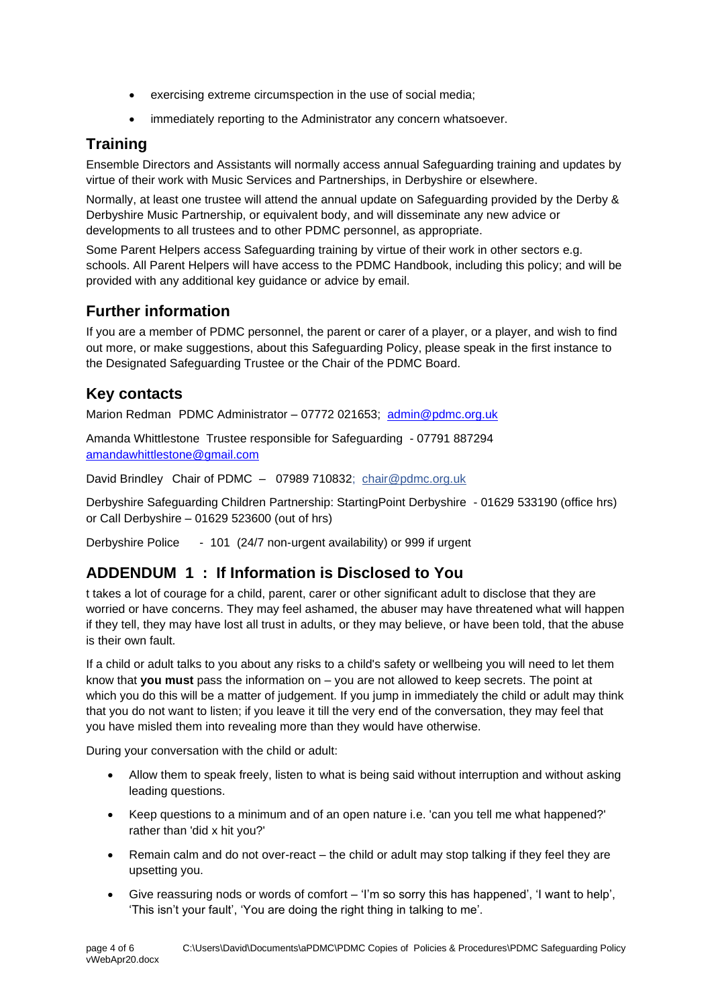- exercising extreme circumspection in the use of social media;
- immediately reporting to the Administrator any concern whatsoever.

## **Training**

Ensemble Directors and Assistants will normally access annual Safeguarding training and updates by virtue of their work with Music Services and Partnerships, in Derbyshire or elsewhere.

Normally, at least one trustee will attend the annual update on Safeguarding provided by the Derby & Derbyshire Music Partnership, or equivalent body, and will disseminate any new advice or developments to all trustees and to other PDMC personnel, as appropriate.

Some Parent Helpers access Safeguarding training by virtue of their work in other sectors e.g. schools. All Parent Helpers will have access to the PDMC Handbook, including this policy; and will be provided with any additional key guidance or advice by email.

# **Further information**

If you are a member of PDMC personnel, the parent or carer of a player, or a player, and wish to find out more, or make suggestions, about this Safeguarding Policy, please speak in the first instance to the Designated Safeguarding Trustee or the Chair of the PDMC Board.

### **Key contacts**

Marion Redman PDMC Administrator – 07772 021653; [admin@pdmc.org.uk](mailto:admin@pdmc.org.uk) 

Amanda Whittlestone Trustee responsible for Safeguarding - 07791 887294 [amandawhittlestone@gmail.com](mailto:amandawhittlestone@gmail.com)

David Brindley Chair of PDMC – 07989 710832; chair@pdmc.org.uk

Derbyshire Safeguarding Children Partnership: StartingPoint Derbyshire - 01629 533190 (office hrs) or Call Derbyshire – 01629 523600 (out of hrs)

Derbyshire Police - 101 (24/7 non-urgent availability) or 999 if urgent

# **ADDENDUM 1 : If Information is Disclosed to You**

t takes a lot of courage for a child, parent, carer or other significant adult to disclose that they are worried or have concerns. They may feel ashamed, the abuser may have threatened what will happen if they tell, they may have lost all trust in adults, or they may believe, or have been told, that the abuse is their own fault.

If a child or adult talks to you about any risks to a child's safety or wellbeing you will need to let them know that **you must** pass the information on – you are not allowed to keep secrets. The point at which you do this will be a matter of judgement. If you jump in immediately the child or adult may think that you do not want to listen; if you leave it till the very end of the conversation, they may feel that you have misled them into revealing more than they would have otherwise.

During your conversation with the child or adult:

- Allow them to speak freely, listen to what is being said without interruption and without asking leading questions.
- Keep questions to a minimum and of an open nature i.e. 'can you tell me what happened?' rather than 'did x hit you?'
- Remain calm and do not over-react the child or adult may stop talking if they feel they are upsetting you.
- Give reassuring nods or words of comfort 'I'm so sorry this has happened', 'I want to help', 'This isn't your fault', 'You are doing the right thing in talking to me'.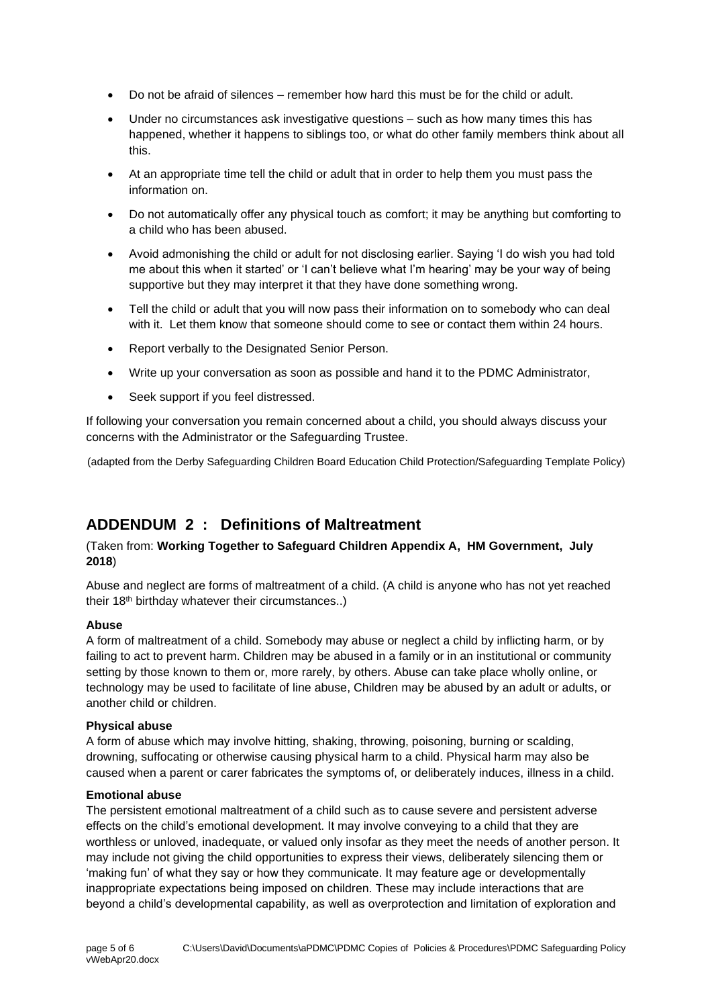- Do not be afraid of silences remember how hard this must be for the child or adult.
- Under no circumstances ask investigative questions such as how many times this has happened, whether it happens to siblings too, or what do other family members think about all this.
- At an appropriate time tell the child or adult that in order to help them you must pass the information on.
- Do not automatically offer any physical touch as comfort; it may be anything but comforting to a child who has been abused.
- Avoid admonishing the child or adult for not disclosing earlier. Saying 'I do wish you had told me about this when it started' or 'I can't believe what I'm hearing' may be your way of being supportive but they may interpret it that they have done something wrong.
- Tell the child or adult that you will now pass their information on to somebody who can deal with it. Let them know that someone should come to see or contact them within 24 hours.
- Report verbally to the Designated Senior Person.
- Write up your conversation as soon as possible and hand it to the PDMC Administrator,
- Seek support if you feel distressed.

If following your conversation you remain concerned about a child, you should always discuss your concerns with the Administrator or the Safeguarding Trustee.

(adapted from the Derby Safeguarding Children Board Education Child Protection/Safeguarding Template Policy)

### **ADDENDUM 2 : Definitions of Maltreatment**

### (Taken from: **Working Together to Safeguard Children Appendix A, HM Government, July 2018**)

Abuse and neglect are forms of maltreatment of a child. (A child is anyone who has not yet reached their 18th birthday whatever their circumstances..)

### **Abuse**

A form of maltreatment of a child. Somebody may abuse or neglect a child by inflicting harm, or by failing to act to prevent harm. Children may be abused in a family or in an institutional or community setting by those known to them or, more rarely, by others. Abuse can take place wholly online, or technology may be used to facilitate of line abuse, Children may be abused by an adult or adults, or another child or children.

### **Physical abuse**

A form of abuse which may involve hitting, shaking, throwing, poisoning, burning or scalding, drowning, suffocating or otherwise causing physical harm to a child. Physical harm may also be caused when a parent or carer fabricates the symptoms of, or deliberately induces, illness in a child.

### **Emotional abuse**

The persistent emotional maltreatment of a child such as to cause severe and persistent adverse effects on the child's emotional development. It may involve conveying to a child that they are worthless or unloved, inadequate, or valued only insofar as they meet the needs of another person. It may include not giving the child opportunities to express their views, deliberately silencing them or 'making fun' of what they say or how they communicate. It may feature age or developmentally inappropriate expectations being imposed on children. These may include interactions that are beyond a child's developmental capability, as well as overprotection and limitation of exploration and